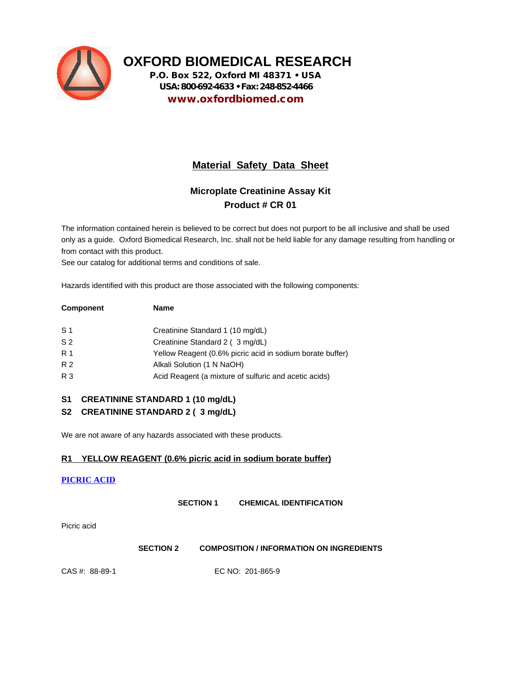

**OXFORD BIOMEDICAL RESEARCH P.O. Box 522, Oxford MI 48371 • USA USA: 800-692-4633 • Fax: 248-852-4466 www.oxfordbiomed.com**

# **Material Safety Data Sheet**

# **Microplate Creatinine Assay Kit Product # CR 01**

The information contained herein is believed to be correct but does not purport to be all inclusive and shall be used only as a guide. Oxford Biomedical Research, Inc. shall not be held liable for any damage resulting from handling or from contact with this product.

See our catalog for additional terms and conditions of sale.

Hazards identified with this product are those associated with the following components:

| <b>Component</b> | <b>Name</b>                                               |
|------------------|-----------------------------------------------------------|
| S <sub>1</sub>   | Creatinine Standard 1 (10 mg/dL)                          |
| S <sub>2</sub>   | Creatinine Standard 2 (3 mg/dL)                           |
| R 1              | Yellow Reagent (0.6% picric acid in sodium borate buffer) |
| R 2              | Alkali Solution (1 N NaOH)                                |
| R 3              | Acid Reagent (a mixture of sulfuric and acetic acids)     |

# **S1 CREATININE STANDARD 1 (10 mg/dL)**

# **S2 CREATININE STANDARD 2 ( 3 mg/dL)**

We are not aware of any hazards associated with these products.

# **R1 YELLOW REAGENT (0.6% picric acid in sodium borate buffer)**

# **PICRIC ACID**

**SECTION 1 CHEMICAL IDENTIFICATION**

Picric acid

**SECTION 2 COMPOSITION / INFORMATION ON INGREDIENTS**

CAS #: 88-89-1 EC NO: 201-865-9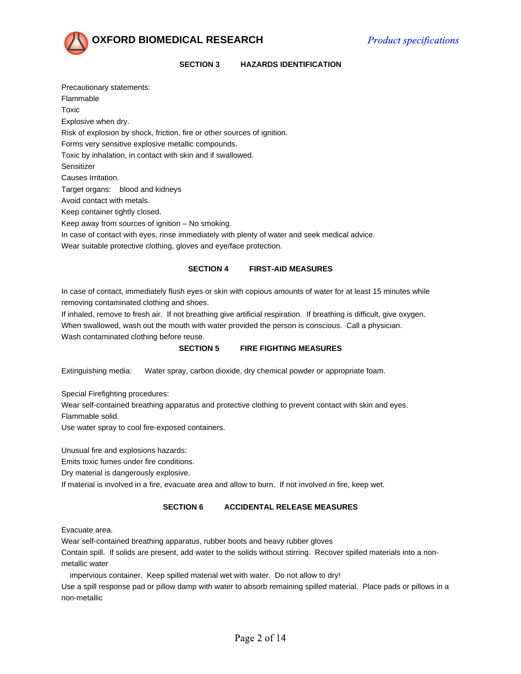

#### **SECTION 3 HAZARDS IDENTIFICATION**

Precautionary statements: Flammable Toxic Explosive when dry. Risk of explosion by shock, friction, fire or other sources of ignition. Forms very sensitive explosive metallic compounds. Toxic by inhalation, in contact with skin and if swallowed. Sensitizer Causes Irritation. Target organs: blood and kidneys Avoid contact with metals. Keep container tightly closed. Keep away from sources of ignition – No smoking. In case of contact with eyes, rinse immediately with plenty of water and seek medical advice.

Wear suitable protective clothing, gloves and eye/face protection.

### **SECTION 4 FIRST-AID MEASURES**

In case of contact, immediately flush eyes or skin with copious amounts of water for at least 15 minutes while removing contaminated clothing and shoes.

If inhaled, remove to fresh air. If not breathing give artificial respiration. If breathing is difficult, give oxygen. When swallowed, wash out the mouth with water provided the person is conscious. Call a physician. Wash contaminated clothing before reuse.

#### **SECTION 5 FIRE FIGHTING MEASURES**

Extinguishing media: Water spray, carbon dioxide, dry chemical powder or appropriate foam.

Special Firefighting procedures:

Wear self-contained breathing apparatus and protective clothing to prevent contact with skin and eyes. Flammable solid.

Use water spray to cool fire-exposed containers.

Unusual fire and explosions hazards:

Emits toxic fumes under fire conditions.

Dry material is dangerously explosive.

If material is involved in a fire, evacuate area and allow to burn. If not involved in fire, keep wet.

#### **SECTION 6 ACCIDENTAL RELEASE MEASURES**

Evacuate area.

Wear self-contained breathing apparatus, rubber boots and heavy rubber gloves

Contain spill. If solids are present, add water to the solids without stirring. Recover spilled materials into a nonmetallic water

impervious container. Keep spilled material wet with water. Do not allow to dry!

Use a spill response pad or pillow damp with water to absorb remaining spilled material. Place pads or pillows in a non-metallic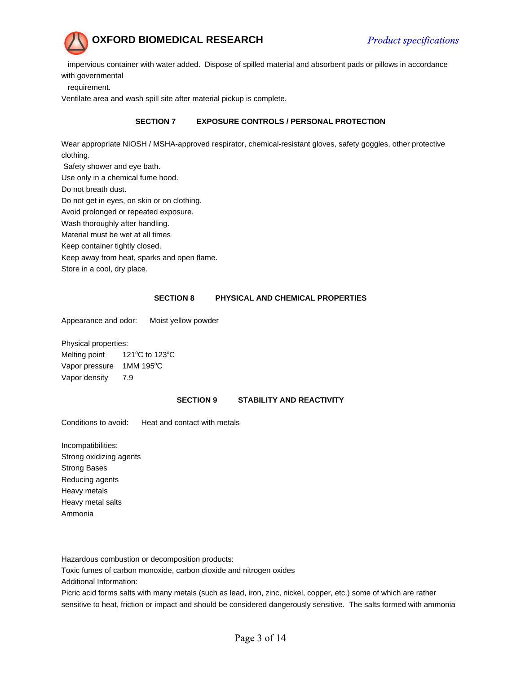

 impervious container with water added. Dispose of spilled material and absorbent pads or pillows in accordance with governmental

requirement.

Ventilate area and wash spill site after material pickup is complete.

# **SECTION 7 EXPOSURE CONTROLS / PERSONAL PROTECTION**

Wear appropriate NIOSH / MSHA-approved respirator, chemical-resistant gloves, safety goggles, other protective clothing. Safety shower and eye bath. Use only in a chemical fume hood. Do not breath dust. Do not get in eyes, on skin or on clothing. Avoid prolonged or repeated exposure. Wash thoroughly after handling. Material must be wet at all times Keep container tightly closed. Keep away from heat, sparks and open flame. Store in a cool, dry place.

# **SECTION 8 PHYSICAL AND CHEMICAL PROPERTIES**

Appearance and odor: Moist yellow powder

Physical properties: Melting point 121°C to 123°C Vapor pressure 1MM 195°C Vapor density 7.9

# **SECTION 9 STABILITY AND REACTIVITY**

Conditions to avoid: Heat and contact with metals

Incompatibilities: Strong oxidizing agents Strong Bases Reducing agents Heavy metals Heavy metal salts Ammonia

Hazardous combustion or decomposition products:

Toxic fumes of carbon monoxide, carbon dioxide and nitrogen oxides Additional Information:

Picric acid forms salts with many metals (such as lead, iron, zinc, nickel, copper, etc.) some of which are rather sensitive to heat, friction or impact and should be considered dangerously sensitive. The salts formed with ammonia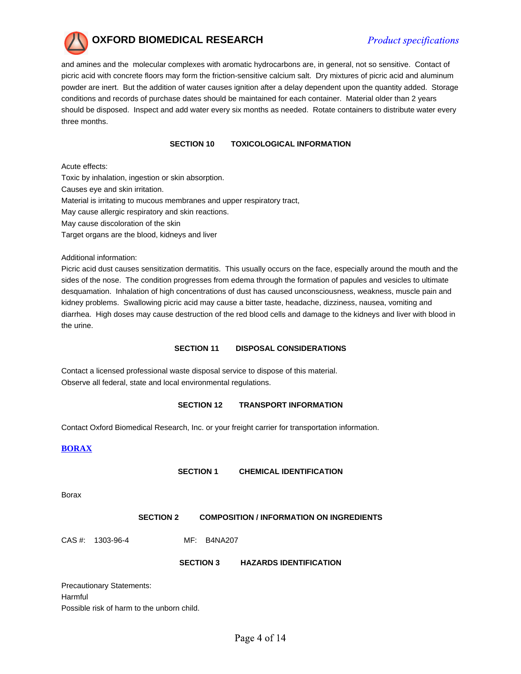

and amines and the molecular complexes with aromatic hydrocarbons are, in general, not so sensitive. Contact of picric acid with concrete floors may form the friction-sensitive calcium salt. Dry mixtures of picric acid and aluminum powder are inert. But the addition of water causes ignition after a delay dependent upon the quantity added. Storage conditions and records of purchase dates should be maintained for each container. Material older than 2 years should be disposed. Inspect and add water every six months as needed. Rotate containers to distribute water every three months.

### **SECTION 10 TOXICOLOGICAL INFORMATION**

Acute effects: Toxic by inhalation, ingestion or skin absorption. Causes eye and skin irritation. Material is irritating to mucous membranes and upper respiratory tract, May cause allergic respiratory and skin reactions. May cause discoloration of the skin Target organs are the blood, kidneys and liver

Additional information:

Picric acid dust causes sensitization dermatitis. This usually occurs on the face, especially around the mouth and the sides of the nose. The condition progresses from edema through the formation of papules and vesicles to ultimate desquamation. Inhalation of high concentrations of dust has caused unconsciousness, weakness, muscle pain and kidney problems. Swallowing picric acid may cause a bitter taste, headache, dizziness, nausea, vomiting and diarrhea. High doses may cause destruction of the red blood cells and damage to the kidneys and liver with blood in the urine.

#### **SECTION 11 DISPOSAL CONSIDERATIONS**

Contact a licensed professional waste disposal service to dispose of this material. Observe all federal, state and local environmental regulations.

# **SECTION 12 TRANSPORT INFORMATION**

Contact Oxford Biomedical Research, Inc. or your freight carrier for transportation information.

# **BORAX**

#### **SECTION 1 CHEMICAL IDENTIFICATION**

**SECTION 2 COMPOSITION / INFORMATION ON INGREDIENTS**

CAS #: 1303-96-4 MF: B4NA207

**SECTION 3 HAZARDS IDENTIFICATION**

Precautionary Statements: Harmful Possible risk of harm to the unborn child.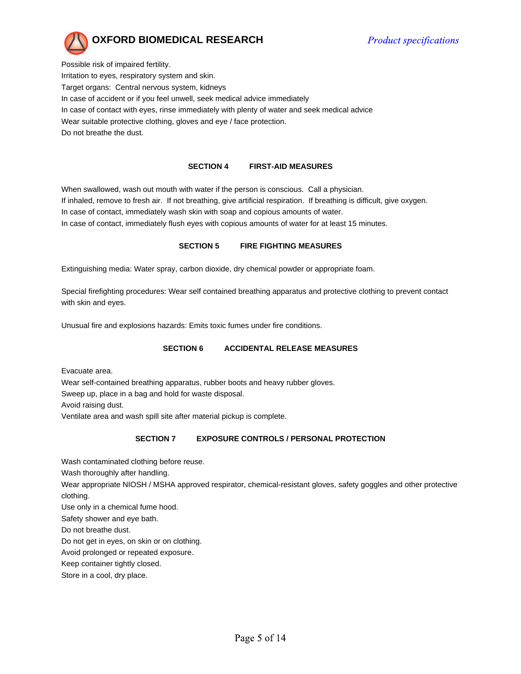

Possible risk of impaired fertility. Irritation to eyes, respiratory system and skin. Target organs: Central nervous system, kidneys In case of accident or if you feel unwell, seek medical advice immediately In case of contact with eyes, rinse immediately with plenty of water and seek medical advice Wear suitable protective clothing, gloves and eye / face protection. Do not breathe the dust.

#### **SECTION 4 FIRST-AID MEASURES**

When swallowed, wash out mouth with water if the person is conscious. Call a physician. If inhaled, remove to fresh air. If not breathing, give artificial respiration. If breathing is difficult, give oxygen. In case of contact, immediately wash skin with soap and copious amounts of water. In case of contact, immediately flush eyes with copious amounts of water for at least 15 minutes.

# **SECTION 5 FIRE FIGHTING MEASURES**

Extinguishing media: Water spray, carbon dioxide, dry chemical powder or appropriate foam.

Special firefighting procedures: Wear self contained breathing apparatus and protective clothing to prevent contact with skin and eyes.

Unusual fire and explosions hazards: Emits toxic fumes under fire conditions.

# **SECTION 6 ACCIDENTAL RELEASE MEASURES**

Evacuate area.

Wear self-contained breathing apparatus, rubber boots and heavy rubber gloves.

Sweep up, place in a bag and hold for waste disposal.

Avoid raising dust.

Ventilate area and wash spill site after material pickup is complete.

# **SECTION 7 EXPOSURE CONTROLS / PERSONAL PROTECTION**

Wash contaminated clothing before reuse. Wash thoroughly after handling. Wear appropriate NIOSH / MSHA approved respirator, chemical-resistant gloves, safety goggles and other protective clothing. Use only in a chemical fume hood. Safety shower and eye bath.

Do not breathe dust.

Do not get in eyes, on skin or on clothing.

Avoid prolonged or repeated exposure.

Keep container tightly closed.

Store in a cool, dry place.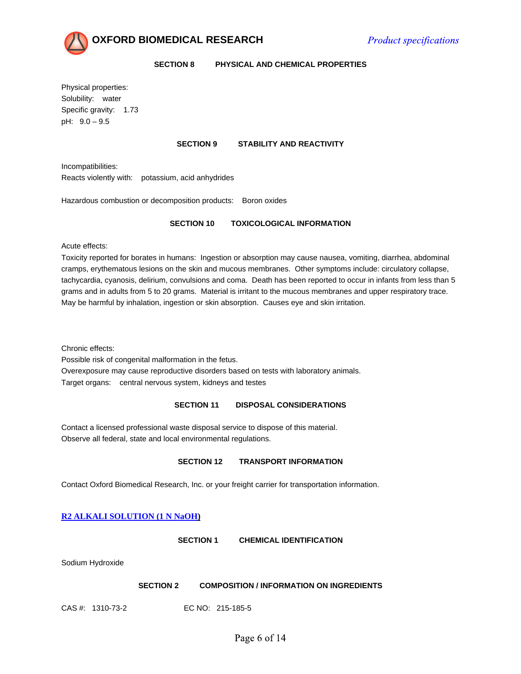

**SECTION 8 PHYSICAL AND CHEMICAL PROPERTIES**

Physical properties: Solubility: water Specific gravity: 1.73 pH: 9.0 – 9.5

### **SECTION 9 STABILITY AND REACTIVITY**

Incompatibilities: Reacts violently with: potassium, acid anhydrides

Hazardous combustion or decomposition products: Boron oxides

### **SECTION 10 TOXICOLOGICAL INFORMATION**

Acute effects:

Toxicity reported for borates in humans: Ingestion or absorption may cause nausea, vomiting, diarrhea, abdominal cramps, erythematous lesions on the skin and mucous membranes. Other symptoms include: circulatory collapse, tachycardia, cyanosis, delirium, convulsions and coma. Death has been reported to occur in infants from less than 5 grams and in adults from 5 to 20 grams. Material is irritant to the mucous membranes and upper respiratory trace. May be harmful by inhalation, ingestion or skin absorption. Causes eye and skin irritation.

Chronic effects:

Possible risk of congenital malformation in the fetus.

Overexposure may cause reproductive disorders based on tests with laboratory animals. Target organs: central nervous system, kidneys and testes

# **SECTION 11 DISPOSAL CONSIDERATIONS**

Contact a licensed professional waste disposal service to dispose of this material. Observe all federal, state and local environmental regulations.

#### **SECTION 12 TRANSPORT INFORMATION**

Contact Oxford Biomedical Research, Inc. or your freight carrier for transportation information.

# **R2 ALKALI SOLUTION (1 N NaOH)**

**SECTION 1 CHEMICAL IDENTIFICATION**

Sodium Hydroxide

# **SECTION 2 COMPOSITION / INFORMATION ON INGREDIENTS**

CAS #: 1310-73-2 EC NO: 215-185-5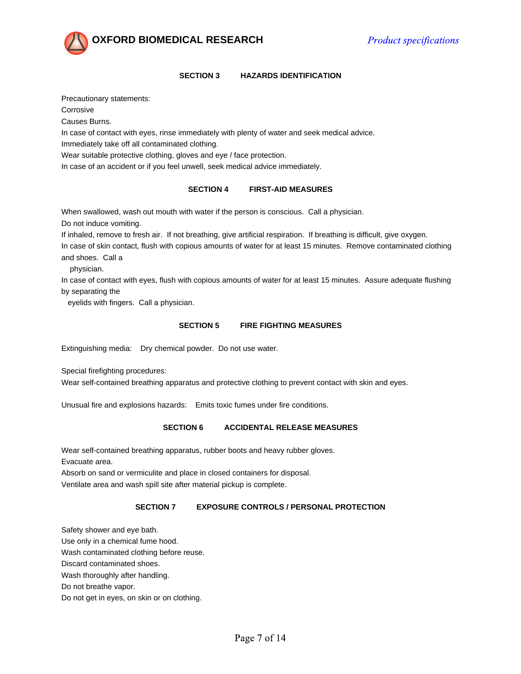

# **SECTION 3 HAZARDS IDENTIFICATION**

Precautionary statements:

Corrosive

Causes Burns.

In case of contact with eyes, rinse immediately with plenty of water and seek medical advice.

Immediately take off all contaminated clothing.

Wear suitable protective clothing, gloves and eye / face protection.

In case of an accident or if you feel unwell, seek medical advice immediately.

#### **SECTION 4 FIRST-AID MEASURES**

When swallowed, wash out mouth with water if the person is conscious. Call a physician.

Do not induce vomiting.

If inhaled, remove to fresh air. If not breathing, give artificial respiration. If breathing is difficult, give oxygen.

In case of skin contact, flush with copious amounts of water for at least 15 minutes. Remove contaminated clothing and shoes. Call a

physician.

In case of contact with eyes, flush with copious amounts of water for at least 15 minutes. Assure adequate flushing by separating the

eyelids with fingers. Call a physician.

#### **SECTION 5 FIRE FIGHTING MEASURES**

Extinguishing media: Dry chemical powder. Do not use water.

Special firefighting procedures:

Wear self-contained breathing apparatus and protective clothing to prevent contact with skin and eyes.

Unusual fire and explosions hazards: Emits toxic fumes under fire conditions.

#### **SECTION 6 ACCIDENTAL RELEASE MEASURES**

Wear self-contained breathing apparatus, rubber boots and heavy rubber gloves. Evacuate area.

Absorb on sand or vermiculite and place in closed containers for disposal.

Ventilate area and wash spill site after material pickup is complete.

#### **SECTION 7 EXPOSURE CONTROLS / PERSONAL PROTECTION**

Safety shower and eye bath. Use only in a chemical fume hood. Wash contaminated clothing before reuse. Discard contaminated shoes. Wash thoroughly after handling. Do not breathe vapor. Do not get in eyes, on skin or on clothing.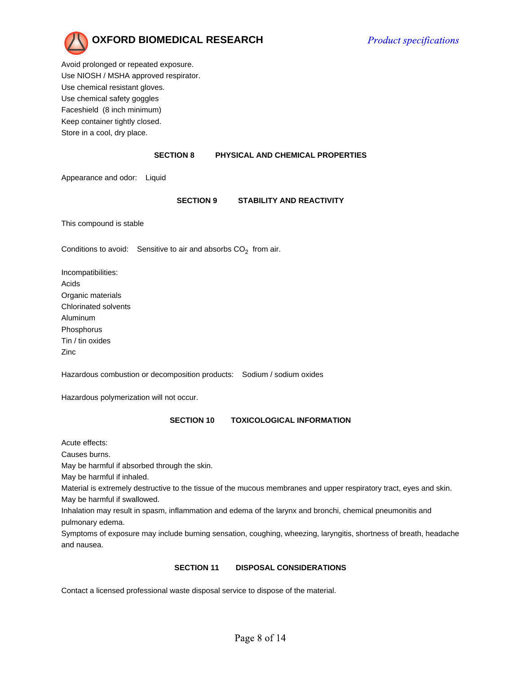

Avoid prolonged or repeated exposure. Use NIOSH / MSHA approved respirator. Use chemical resistant gloves. Use chemical safety goggles Faceshield (8 inch minimum) Keep container tightly closed. Store in a cool, dry place.

#### **SECTION 8 PHYSICAL AND CHEMICAL PROPERTIES**

Appearance and odor: Liquid

#### **SECTION 9 STABILITY AND REACTIVITY**

This compound is stable

Conditions to avoid: Sensitive to air and absorbs  $\mathsf{CO}_2^{\mathstrut}$  from air.

Incompatibilities: Acids Organic materials Chlorinated solvents Aluminum Phosphorus Tin / tin oxides Zinc

Hazardous combustion or decomposition products: Sodium / sodium oxides

Hazardous polymerization will not occur.

#### **SECTION 10 TOXICOLOGICAL INFORMATION**

Acute effects:

Causes burns.

May be harmful if absorbed through the skin.

May be harmful if inhaled.

Material is extremely destructive to the tissue of the mucous membranes and upper respiratory tract, eyes and skin. May be harmful if swallowed.

Inhalation may result in spasm, inflammation and edema of the larynx and bronchi, chemical pneumonitis and pulmonary edema.

Symptoms of exposure may include burning sensation, coughing, wheezing, laryngitis, shortness of breath, headache and nausea.

#### **SECTION 11 DISPOSAL CONSIDERATIONS**

Contact a licensed professional waste disposal service to dispose of the material.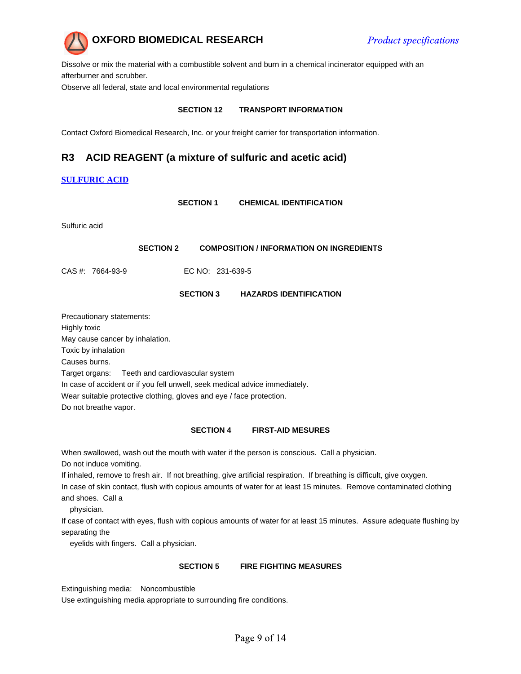

Dissolve or mix the material with a combustible solvent and burn in a chemical incinerator equipped with an afterburner and scrubber.

Observe all federal, state and local environmental regulations

### **SECTION 12 TRANSPORT INFORMATION**

Contact Oxford Biomedical Research, Inc. or your freight carrier for transportation information.

# **R3 ACID REAGENT (a mixture of sulfuric and acetic acid)**

# **SULFURIC ACID**

**SECTION 1 CHEMICAL IDENTIFICATION**

Sulfuric acid

**SECTION 2 COMPOSITION / INFORMATION ON INGREDIENTS**

CAS #: 7664-93-9 EC NO: 231-639-5

### **SECTION 3 HAZARDS IDENTIFICATION**

Precautionary statements:

Highly toxic

May cause cancer by inhalation.

Toxic by inhalation

Causes burns.

Target organs: Teeth and cardiovascular system

In case of accident or if you fell unwell, seek medical advice immediately.

Wear suitable protective clothing, gloves and eye / face protection.

Do not breathe vapor.

#### **SECTION 4 FIRST-AID MESURES**

When swallowed, wash out the mouth with water if the person is conscious. Call a physician. Do not induce vomiting. If inhaled, remove to fresh air. If not breathing, give artificial respiration. If breathing is difficult, give oxygen. In case of skin contact, flush with copious amounts of water for at least 15 minutes. Remove contaminated clothing and shoes. Call a physician. If case of contact with eyes, flush with copious amounts of water for at least 15 minutes. Assure adequate flushing by

separating the

eyelids with fingers. Call a physician.

#### **SECTION 5 FIRE FIGHTING MEASURES**

Extinguishing media: Noncombustible

Use extinguishing media appropriate to surrounding fire conditions.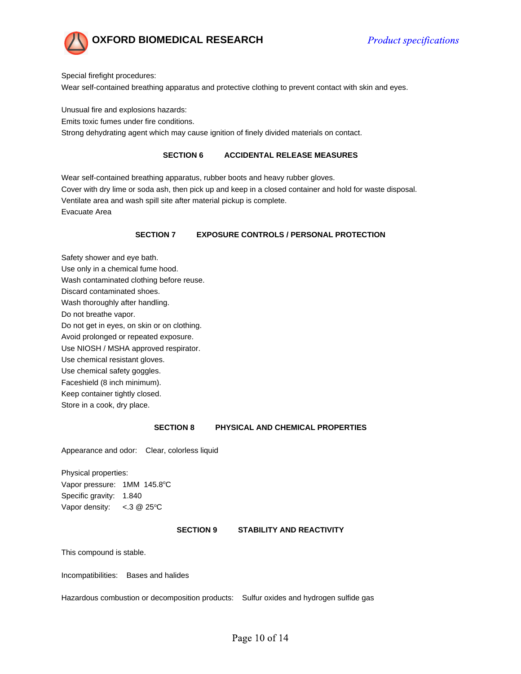

Special firefight procedures:

Wear self-contained breathing apparatus and protective clothing to prevent contact with skin and eyes.

Unusual fire and explosions hazards:

Emits toxic fumes under fire conditions.

Strong dehydrating agent which may cause ignition of finely divided materials on contact.

### **SECTION 6 ACCIDENTAL RELEASE MEASURES**

Wear self-contained breathing apparatus, rubber boots and heavy rubber gloves. Cover with dry lime or soda ash, then pick up and keep in a closed container and hold for waste disposal. Ventilate area and wash spill site after material pickup is complete. Evacuate Area

# **SECTION 7 EXPOSURE CONTROLS / PERSONAL PROTECTION**

Safety shower and eye bath. Use only in a chemical fume hood. Wash contaminated clothing before reuse. Discard contaminated shoes. Wash thoroughly after handling. Do not breathe vapor. Do not get in eyes, on skin or on clothing. Avoid prolonged or repeated exposure. Use NIOSH / MSHA approved respirator. Use chemical resistant gloves. Use chemical safety goggles. Faceshield (8 inch minimum). Keep container tightly closed. Store in a cook, dry place.

#### **SECTION 8 PHYSICAL AND CHEMICAL PROPERTIES**

Appearance and odor: Clear, colorless liquid

Physical properties: Vapor pressure: 1MM 145.8°C Specific gravity: 1.840 Vapor density:  $< 3$  @ 25 $\degree$ C

# **SECTION 9 STABILITY AND REACTIVITY**

This compound is stable.

Incompatibilities: Bases and halides

Hazardous combustion or decomposition products: Sulfur oxides and hydrogen sulfide gas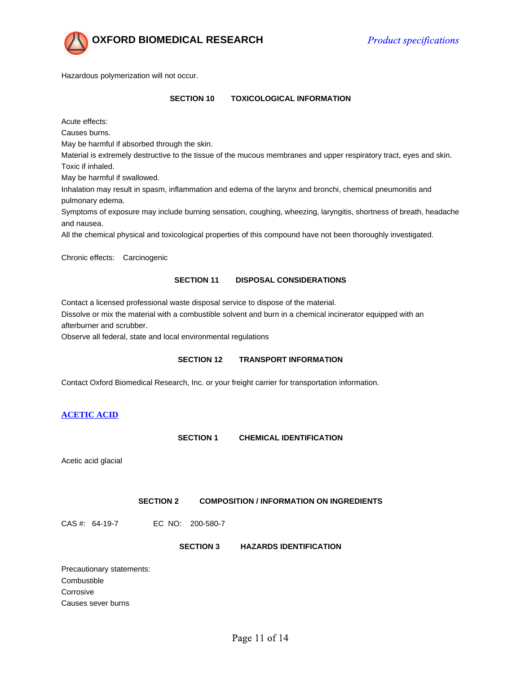

Hazardous polymerization will not occur.

## **SECTION 10 TOXICOLOGICAL INFORMATION**

Acute effects:

Causes burns.

May be harmful if absorbed through the skin.

Material is extremely destructive to the tissue of the mucous membranes and upper respiratory tract, eyes and skin. Toxic if inhaled.

May be harmful if swallowed.

Inhalation may result in spasm, inflammation and edema of the larynx and bronchi, chemical pneumonitis and pulmonary edema.

Symptoms of exposure may include burning sensation, coughing, wheezing, laryngitis, shortness of breath, headache and nausea.

All the chemical physical and toxicological properties of this compound have not been thoroughly investigated.

Chronic effects: Carcinogenic

### **SECTION 11 DISPOSAL CONSIDERATIONS**

Contact a licensed professional waste disposal service to dispose of the material.

Dissolve or mix the material with a combustible solvent and burn in a chemical incinerator equipped with an afterburner and scrubber.

Observe all federal, state and local environmental regulations

#### **SECTION 12 TRANSPORT INFORMATION**

Contact Oxford Biomedical Research, Inc. or your freight carrier for transportation information.

# **ACETIC ACID**

**SECTION 1 CHEMICAL IDENTIFICATION**

Acetic acid glacial

**SECTION 2 COMPOSITION / INFORMATION ON INGREDIENTS**

CAS #: 64-19-7 EC NO: 200-580-7

**SECTION 3 HAZARDS IDENTIFICATION**

Precautionary statements: **Combustible** Corrosive Causes sever burns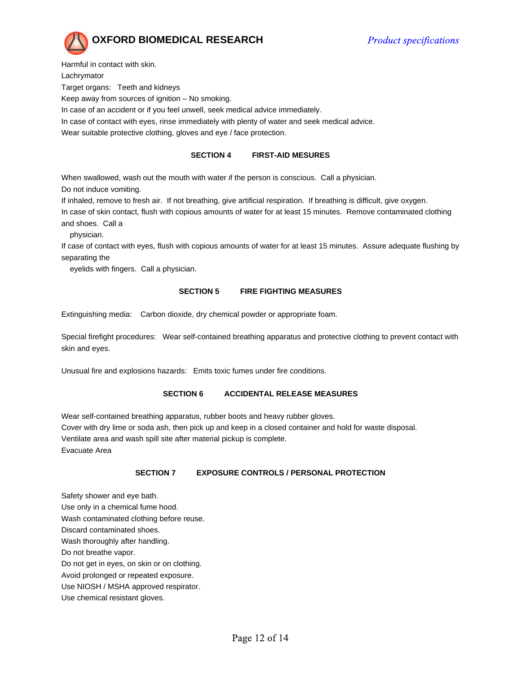

Harmful in contact with skin.

Lachrymator

Target organs: Teeth and kidneys

Keep away from sources of ignition – No smoking.

In case of an accident or if you feel unwell, seek medical advice immediately.

In case of contact with eyes, rinse immediately with plenty of water and seek medical advice.

Wear suitable protective clothing, gloves and eye / face protection.

# **SECTION 4 FIRST-AID MESURES**

When swallowed, wash out the mouth with water if the person is conscious. Call a physician.

Do not induce vomiting.

If inhaled, remove to fresh air. If not breathing, give artificial respiration. If breathing is difficult, give oxygen. In case of skin contact, flush with copious amounts of water for at least 15 minutes. Remove contaminated clothing

and shoes. Call a

physician.

If case of contact with eyes, flush with copious amounts of water for at least 15 minutes. Assure adequate flushing by separating the

eyelids with fingers. Call a physician.

# **SECTION 5 FIRE FIGHTING MEASURES**

Extinguishing media: Carbon dioxide, dry chemical powder or appropriate foam.

Special firefight procedures: Wear self-contained breathing apparatus and protective clothing to prevent contact with skin and eyes.

Unusual fire and explosions hazards: Emits toxic fumes under fire conditions.

# **SECTION 6 ACCIDENTAL RELEASE MEASURES**

Wear self-contained breathing apparatus, rubber boots and heavy rubber gloves. Cover with dry lime or soda ash, then pick up and keep in a closed container and hold for waste disposal. Ventilate area and wash spill site after material pickup is complete. Evacuate Area

# **SECTION 7 EXPOSURE CONTROLS / PERSONAL PROTECTION**

- Safety shower and eye bath.
- Use only in a chemical fume hood.
- Wash contaminated clothing before reuse.
- Discard contaminated shoes.
- Wash thoroughly after handling.
- Do not breathe vapor.
- Do not get in eyes, on skin or on clothing.
- Avoid prolonged or repeated exposure.
- Use NIOSH / MSHA approved respirator.
- Use chemical resistant gloves.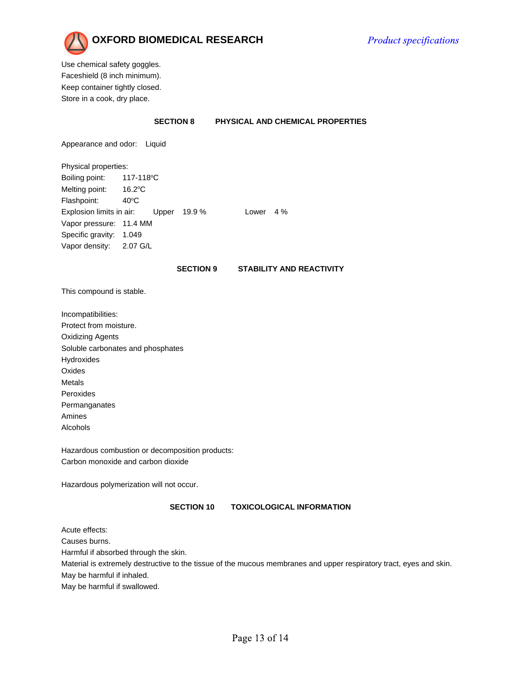

Use chemical safety goggles. Faceshield (8 inch minimum). Keep container tightly closed. Store in a cook, dry place.

### **SECTION 8 PHYSICAL AND CHEMICAL PROPERTIES**

Appearance and odor: Liquid

Physical properties: Boiling point: 117-118°C Melting point: 16.2°C Flashpoint: 40°C Explosion limits in air: Upper 19.9 % Lower 4 % Vapor pressure: 11.4 MM Specific gravity: 1.049 Vapor density: 2.07 G/L

#### **SECTION 9 STABILITY AND REACTIVITY**

This compound is stable.

Incompatibilities: Protect from moisture. Oxidizing Agents Soluble carbonates and phosphates Hydroxides Oxides Metals Peroxides Permanganates Amines Alcohols

Hazardous combustion or decomposition products: Carbon monoxide and carbon dioxide

Hazardous polymerization will not occur.

#### **SECTION 10 TOXICOLOGICAL INFORMATION**

Acute effects:

Causes burns.

Harmful if absorbed through the skin.

Material is extremely destructive to the tissue of the mucous membranes and upper respiratory tract, eyes and skin.

May be harmful if inhaled.

May be harmful if swallowed.